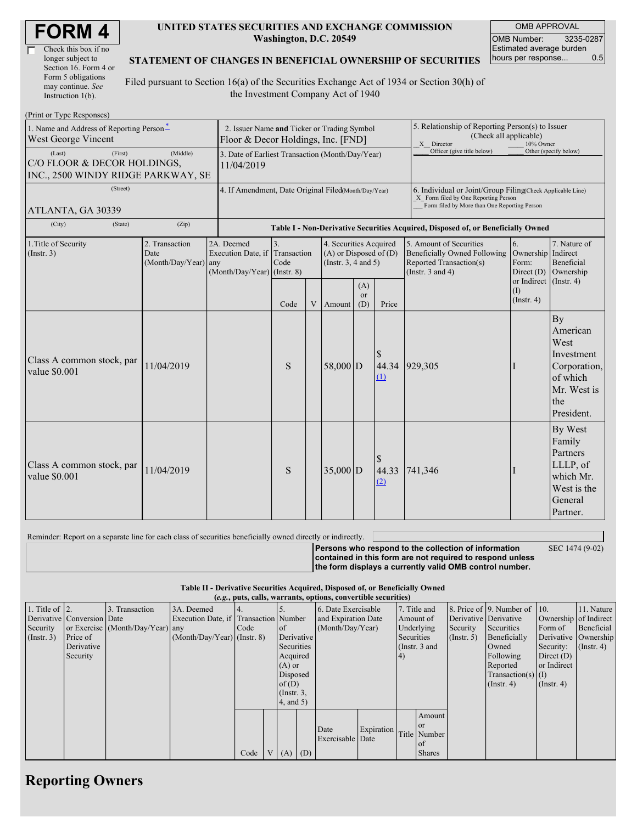| <b>FORM4</b> |  |
|--------------|--|
|--------------|--|

| Check this box if no  |
|-----------------------|
| longer subject to     |
| Section 16. Form 4 or |
| Form 5 obligations    |
| may continue. See     |
| Instruction 1(b).     |

 $(Drint or TrmaBe)$ 

#### **UNITED STATES SECURITIES AND EXCHANGE COMMISSION Washington, D.C. 20549**

OMB APPROVAL OMB Number: 3235-0287 Estimated average burden hours per response... 0.5

### **STATEMENT OF CHANGES IN BENEFICIAL OWNERSHIP OF SECURITIES**

Filed pursuant to Section 16(a) of the Securities Exchange Act of 1934 or Section 30(h) of the Investment Company Act of 1940

| THIII OF TYPE INSPONSES<br>1. Name and Address of Reporting Person*<br>West George Vincent<br>(First)<br>(Last)<br>C/O FLOOR & DECOR HOLDINGS,<br>INC., 2500 WINDY RIDGE PARKWAY, SE | 2. Issuer Name and Ticker or Trading Symbol<br>Floor & Decor Holdings, Inc. [FND]<br>3. Date of Earliest Transaction (Month/Day/Year)<br>11/04/2019 |                                                                   |                                                                                  |  |                                                                                  |                         | 5. Relationship of Reporting Person(s) to Issuer<br>(Check all applicable)<br>X Director<br>Officer (give title below)                             | 10% Owner                                                                                                                                                      | Other (specify below)                  |                                                                                                      |  |  |
|--------------------------------------------------------------------------------------------------------------------------------------------------------------------------------------|-----------------------------------------------------------------------------------------------------------------------------------------------------|-------------------------------------------------------------------|----------------------------------------------------------------------------------|--|----------------------------------------------------------------------------------|-------------------------|----------------------------------------------------------------------------------------------------------------------------------------------------|----------------------------------------------------------------------------------------------------------------------------------------------------------------|----------------------------------------|------------------------------------------------------------------------------------------------------|--|--|
| (Street)<br>ATLANTA, GA 30339                                                                                                                                                        | 4. If Amendment, Date Original Filed(Month/Day/Year)                                                                                                |                                                                   |                                                                                  |  |                                                                                  |                         | 6. Individual or Joint/Group Filing(Check Applicable Line)<br>X Form filed by One Reporting Person<br>Form filed by More than One Reporting Person |                                                                                                                                                                |                                        |                                                                                                      |  |  |
| (City)<br>(State)                                                                                                                                                                    | (Zip)                                                                                                                                               |                                                                   | Table I - Non-Derivative Securities Acquired, Disposed of, or Beneficially Owned |  |                                                                                  |                         |                                                                                                                                                    |                                                                                                                                                                |                                        |                                                                                                      |  |  |
| 1. Title of Security<br>(Insert. 3)                                                                                                                                                  | 2. Transaction<br>Date<br>(Month/Day/Year) any                                                                                                      | 2A. Deemed<br>Execution Date, if<br>$(Month/Day/Year)$ (Instr. 8) | 3.<br>Transaction<br>Code                                                        |  | 4. Securities Acquired<br>$(A)$ or Disposed of $(D)$<br>(Instr. $3, 4$ and $5$ ) |                         |                                                                                                                                                    | 5. Amount of Securities<br>6.<br><b>Beneficially Owned Following</b><br>Ownership<br>Reported Transaction(s)<br>Form:<br>(Instr. $3$ and $4$ )<br>Direct $(D)$ |                                        | 7. Nature of<br>Indirect<br>Beneficial<br>Ownership                                                  |  |  |
|                                                                                                                                                                                      |                                                                                                                                                     |                                                                   | Code                                                                             |  | V Amount                                                                         | (A)<br><b>or</b><br>(D) | Price                                                                                                                                              |                                                                                                                                                                | or Indirect<br>(1)<br>$($ Instr. 4 $)$ | $($ Instr. 4 $)$                                                                                     |  |  |
| Class A common stock, par<br>value \$0.001                                                                                                                                           | 11/04/2019                                                                                                                                          |                                                                   | S                                                                                |  | $58,000$ D                                                                       |                         | \$<br>44.34<br>$\mathbf{\underline{u}}$                                                                                                            | 929,305                                                                                                                                                        |                                        | By<br>American<br>West<br>Investment<br>Corporation,<br>of which<br>Mr. West is<br>the<br>President. |  |  |
| Class A common stock, par<br>value \$0.001                                                                                                                                           | 11/04/2019                                                                                                                                          |                                                                   | S                                                                                |  | $35,000$ D                                                                       |                         | <sup>\$</sup><br>44.33<br>(2)                                                                                                                      | 741,346                                                                                                                                                        |                                        | By West<br>Family<br>Partners<br>LLLP, of<br>which Mr.<br>West is the<br>General<br>Partner.         |  |  |

Reminder: Report on a separate line for each class of securities beneficially owned directly or indirectly.

**Persons who respond to the collection of information contained in this form are not required to respond unless the form displays a currently valid OMB control number.** SEC 1474 (9-02)

#### **Table II - Derivative Securities Acquired, Disposed of, or Beneficially Owned (***e.g.***, puts, calls, warrants, options, convertible securities)**

| $(0.8)$ puts, cans, waitunts, options, convertible securities, |                            |                                  |                                       |      |  |                  |  |                     |            |            |               |               |                              |                      |                  |                       |  |                       |  |
|----------------------------------------------------------------|----------------------------|----------------------------------|---------------------------------------|------|--|------------------|--|---------------------|------------|------------|---------------|---------------|------------------------------|----------------------|------------------|-----------------------|--|-----------------------|--|
| 1. Title of $\vert$ 2.                                         |                            | 3. Transaction                   | 3A. Deemed                            |      |  |                  |  | 6. Date Exercisable |            |            | 7. Title and  |               | 8. Price of 9. Number of 10. |                      | 11. Nature       |                       |  |                       |  |
|                                                                | Derivative Conversion Date |                                  | Execution Date, if Transaction Number |      |  |                  |  | and Expiration Date |            |            |               |               |                              | Amount of            |                  | Derivative Derivative |  | Ownership of Indirect |  |
| Security                                                       |                            | or Exercise (Month/Day/Year) any |                                       | Code |  | <sub>of</sub>    |  | (Month/Day/Year)    |            |            | Underlying    | Security      | Securities                   | Form of              | Beneficial       |                       |  |                       |  |
| $($ Instr. 3 $)$                                               | Price of                   |                                  | $(Month/Day/Year)$ (Instr. 8)         |      |  | Derivative       |  |                     |            | Securities |               | $($ Instr. 5) | Beneficially                 | Derivative Ownership |                  |                       |  |                       |  |
|                                                                | Derivative                 |                                  |                                       |      |  | Securities       |  |                     |            |            | (Instr. 3 and |               | Owned                        | Security:            | $($ Instr. 4 $)$ |                       |  |                       |  |
|                                                                | Security                   |                                  |                                       |      |  | Acquired         |  |                     |            |            |               |               | Following                    | Direct $(D)$         |                  |                       |  |                       |  |
|                                                                |                            |                                  |                                       |      |  | $(A)$ or         |  |                     |            |            |               |               | Reported                     | or Indirect          |                  |                       |  |                       |  |
|                                                                |                            |                                  |                                       |      |  | Disposed         |  |                     |            |            |               |               | $Transaction(s)$ (I)         |                      |                  |                       |  |                       |  |
|                                                                |                            |                                  |                                       |      |  | of(D)            |  |                     |            |            |               |               | $($ Instr. 4 $)$             | $($ Instr. 4 $)$     |                  |                       |  |                       |  |
|                                                                |                            |                                  |                                       |      |  | $($ Instr. $3$ , |  |                     |            |            |               |               |                              |                      |                  |                       |  |                       |  |
|                                                                |                            |                                  |                                       |      |  | $4$ , and $5$ )  |  |                     |            |            |               |               |                              |                      |                  |                       |  |                       |  |
|                                                                |                            |                                  |                                       |      |  |                  |  |                     |            |            | Amount        |               |                              |                      |                  |                       |  |                       |  |
|                                                                |                            |                                  |                                       |      |  |                  |  |                     |            |            | <b>or</b>     |               |                              |                      |                  |                       |  |                       |  |
|                                                                |                            |                                  |                                       |      |  |                  |  | Date                | Expiration |            | Title Number  |               |                              |                      |                  |                       |  |                       |  |
|                                                                |                            |                                  |                                       |      |  |                  |  | Exercisable Date    |            |            | of            |               |                              |                      |                  |                       |  |                       |  |
|                                                                |                            |                                  |                                       | Code |  | $V(A)$ (D)       |  |                     |            |            | <b>Shares</b> |               |                              |                      |                  |                       |  |                       |  |

## **Reporting Owners**